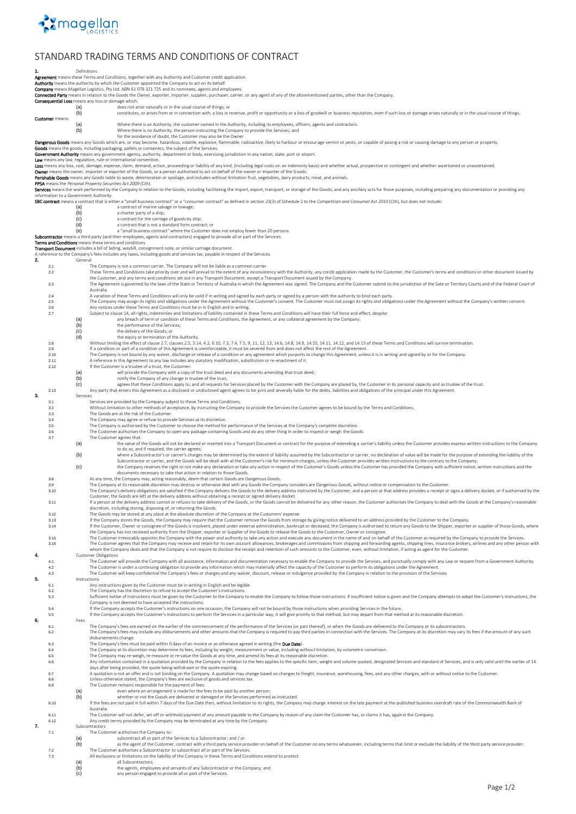

## STANDARD TRADING TERMS AND CONDITIONS OF CONTRACT

<span id="page-0-10"></span><span id="page-0-9"></span><span id="page-0-8"></span><span id="page-0-7"></span><span id="page-0-6"></span><span id="page-0-5"></span><span id="page-0-4"></span><span id="page-0-3"></span><span id="page-0-2"></span><span id="page-0-1"></span><span id="page-0-0"></span>**1.** Definitions **Agreement** means these Terms and Conditions, together with any Authority and Customer credit application.<br>Authority means the authority by which the Customer appointed the Company to act on its behalf. **Authority** means the authority by which the Customer appointed the Company to act on its behalf.<br>**Company** means Magellan Logistics, Pty Ltd. ABN 61 079 321 725 and its nominees, agents and employees. **d Party** means in relation to the Goods the Owner, exporter, importer, supplier, purchaser, carrier, or any agent of any of the aforementioned parties, other than the Company al Loss means any loss or damage which: (a) does not arise naturally or in the usual course of things; or constitutes, or arises from or in connection with, a loss in (b) constitutes, or arises from or in connection with, a loss in revenue, profit or opportunity or a loss of goodwill or business reputation, even if such loss or damage arises naturally or in the usual course of things. Customer means: (a) Where there is an Authority, the customer named in the Authority, including its employees, officers, agents and contractors.<br>(b) Where there is no Authority, the person instructing the Company to provide the Services; for the avoidance of doubt, the Customer may also be the Owner. **Bongerous Goods** means any Goods which are, or may become, hazardous, volatile, explosive, filamable, radioactive, likely to harbour or encourage vermin or pests, or capable of posing a risk or causing damage to any perso **PPSA** means the *Personal Property Securities Act 2009* (Cth).<br>**Services** means the work preformed by the Company in relation to the Goods, including facilitating the import, export, transport, or storage of the Goods; an (a)<br>
a contract of marine salvage or towage;<br>
(b)<br>
a charter party of a sing;<br>
(c)<br>
a contract that is not a standard form contract; or<br>
(e)<br>  $\bullet$ <br>  $\bullet$ <br>
Subcontractor means a third party (and their employees, agents and **Terms and Conditions** means these terms and conditions.<br>**Transport Document** includes a bill of lading, waybill, con **Transport Document** includes a bill of lading, waybill, consignment note, or similar carriage document.<br>A reference to the Company's fees includes any taxes, including goods and services tax, payable in respect of the Ser 2.1 The Company is not a common carrier. The Company will not be liable as a common carrier<br>2.2 These Terms and Conditions take priority over and will prevail to the extent of any inconsist These Terms and Conditions take priority over and will prevail to the extent of any inconsistency with the Authority, any credit application made by the Customer, the Customer's terms and conditions or other document issue the Customer, and any terms and conditions set out in any Transport Document, except a Transport Document issued Dy the Customery and the Customer submit to the jurisdiction of the Sate or Territory Courts and of the Feder 2.6 Any notices under these Terms and Conditions must be in in English and in writing.<br>2.7 Subject to claus[e 14,](#page-1-0) all rights, indemnities and limitations of liability contained in these Terms and Conditions will have their (a) any breach of term or conditions of these Terms and Conditions, the Agreement, or any collateral agreement by the Company;<br>(b) the gerformance of the Services;<br>(d) the edelivery of the Goods; or<br>(d) Without limiting th 2.9 If a condition or part of a condition of this Agreement is unenforceable, it must be severed from and does not affect the rest of the Agreement. 2.10 The Company is not bound by any waiver, discharge or release of a condition or any agreement which purports to change this Agreement, unless it is in writing and signed by or for the Company. 2.11 A reference in this Agreement to any law includes any statutory modification, substitution or re-enactment of it. 2.12 If the Customer is a trustee of a trust, the Customer: (a) will provide the Company with a copy of the trust deed and any documents amending that trust deed;<br>(b) will provide the Company of any change in trustee of the trust: (b) notify the Company of any change in trustee of the trust;<br>(C) agrees that these Conditions apply to, and all requests for Services placed by the Customer with the Company are placed by, the Customer in its personal cap 2.13 Any party that enters this Agreement as a disclosed or undisclosed agent agrees to be joint and severally liable for the debts, liabilities and obligations of the principal under this Agreement. **3.** Services 3.1 Services are provided by the Company subject to these Terms and Conditions. 3.2 Without limitation to other methods of acceptance, by instructing the Company to provide the Services the Customer agrees to be bound by the Terms and Conditions.<br>The Goods are at the risk of the Customer 3.3 The Goods are at the risk of the Customer.<br>3.4 The Company may agree or refuse to provide 3.4 The Company may agree or refuse to provide Services at its discretion.<br>3.5 The Company is authorised by the Customer to choose the method for performance of the Services at the Company's complete discretion.<br>3.6 The Cu 3.7 The Customer agrees that:<br>(a) the value of the value of the Goods will not be declared or inserted into a Transport Document or contract for the purpose of extending a carrier's liability unless the Customer provides express written instructions to the Compa to do so, and if required, the carrier agrees;<br>(b) where a Subcontractor's or carrier's charges may be determined by the extent of liability assumed by the Subcontractor or carrier, no declaration of value will be made for documents necessary to take that action in relation to those Goods. At any time, the Company may, acting reasonably, deem that certain Goods are Dangerous Goods, outhout notice or compensation to the Customer.<br>The Company's delivery obligations are satisfied if the Company delivers the Goo discretion, including storing, disposing of, or returning the Goods. 3.12 The Goods may be stored at any place at the absolute discretion of the Company at the Customers' expense.<br>3.13 If the Company stores the Goods, the Company may require that the Customer remove the Goods from s If the Company stores the Goods insolvent, placed under external administration, bankrupt or deceased, the Company is authorised to return any Goods to the Sustomer to the Company. If the Customer, Owner or consignee of th whom the Company deals and that the Company is not require to disclose the receipt and retention of such amounts to the Customer, even, without limitation, if acting as agent for the Customer. Customer Obligations<br>The Customer will provide the Company with all assistance, information and documentation necessary to enable the Company to provide the Services, and punctually comply with any Law or request from a Go **5.** Instructions<br>5.1 Anvi 5.1 Any instructions given by the Customer must be in writing in English and be legible.<br>The Company has the discretion to refuse to accept the Customer's instructions 5.2 The Company has the discretion to refuse to accept the Customer's instructions.<br>S.3 Sufficient notice of instructions must be given by the Customer to the Company to enable the Company to follow those instructions. If 5.4 If the Company accepts the Customer's instructions on one occasion, the Company will not be bound by those instructions when providing Services in the future. If the Company accepts the Customer's instructions to perform the Services in a particular way, it will give priority to that method, but may depart from that method at its reasonable discretion. **6.** Fees 6.1 The Company's fees are earned on the earlier of the commencement of the performance of the Services (or part thereof), or when the Goods are delivered to the Company or its subcontractors.<br>6.2 The Company's fees may in disbursements change. 6.3 The Company's fees must be paid within 0 days of an invoice or as otherwise agreed in writing (the **Due Date)**<br>6.4 The Company at its discretion may determine its fees, including by weight, massurement or value, includ 6.4 The Company at its discretion may determine its fees, including by weight, measurement or value, including without limitation, by volumetric conversion.<br>6.5 The Company may re-weigh, re-masure or re-value the Goods at 6.7 A quotation is not an offer and is not binding on the Company. A quotation may change based on changes to freight, insurance, warehousing, fees, and any other charges, with or without notice to the Customer.<br>6.8 Unless 6.8 Unless otherwise stated, the Company's fees are exclusive of goods and services tax. 6.9 The Customer remains responsible for the payment of fees: (a) even where an arrangement is made for the fees to be paid by another person; (b) whether or not the Goods are delivered or damaged or the Services performed as instructed. 6.10 If the fees are not paid in full within 7 days of the Due Date then, without limitation to its rights, the Company may charge interest on the late payment at the published business overdraft rate of the Commonwealth Bank of Australia. 6.11 The Customer will not defer, set-off or withhold payment of any amount payable to the Company by reason of any claim the Customer has, or claims it has, against the Company<br>6.12 Any credit terms provided by the Compan Any credit terms provided by the Company may be terminated at any time by the Comp Subcontractors<br>7.1 The Customer authorises the Company to:<br>(a) as the agent of the Services to a Subcontractor; and / or<br>4.0 as the agent of the Customer, contract with a third party service provider on behalf of the Custo 7.2 The Customer authorises a Subcontractor to subcontract all or part of the Services.<br>The Customer authorises a Subcontractor to subcontract all or part of the Services. The customs customs of the limitations on the liability of the Company in these Terms and Conditions extend to protect:<br>
(a) all Subcontractors;<br>
(b) the agents, employees and servants of any Subcontractor or the Company; all Subcontractors; (b) the agents, employees and servants of any Subcontractor or the Company; and (c) any person engaged to provide all or part of the Services.